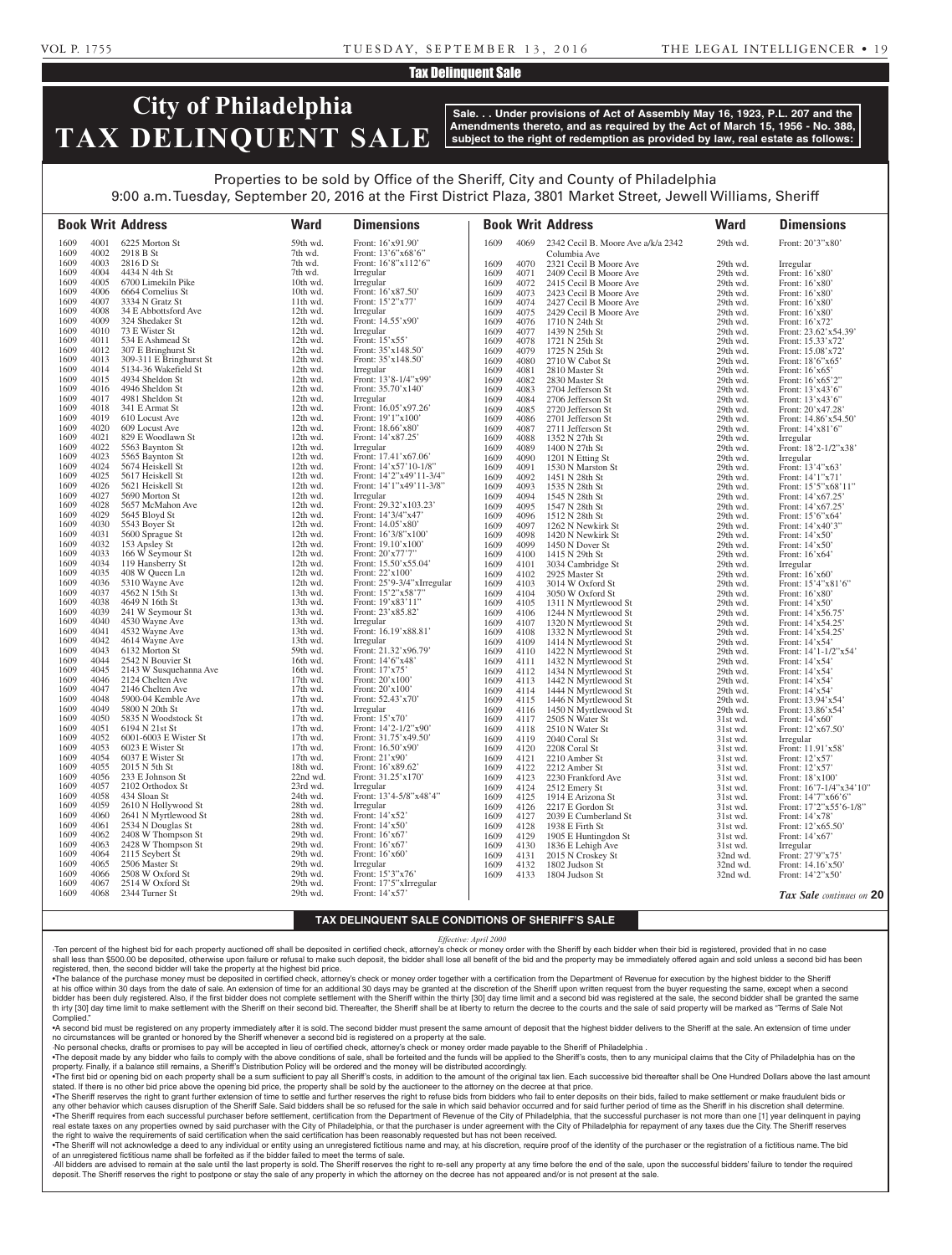# Tax Delinquent Sale

# **City of Philadelphia TAX DELINQUENT SALE**

**Sale. . . Under provisions of Act of Assembly May 16, 1923, P.L. 207 and the Amendments thereto, and as required by the Act of March 15, 1956 - No. 388, subject to the right of redemption as provided by law, real estate as follows:**

# Properties to be sold by Office of the Sheriff, City and County of Philadelphia 9:00 a.m. Tuesday, September 20, 2016 at the First District Plaza, 3801 Market Street, Jewell Williams, Sheriff

|              |              | <b>Book Writ Address</b>                        | <b>Ward</b>          | <b>Dimensions</b>                                |              |              | <b>Book Writ Address</b>                         | <b>Ward</b>          | <b>Dimensions</b>                          |
|--------------|--------------|-------------------------------------------------|----------------------|--------------------------------------------------|--------------|--------------|--------------------------------------------------|----------------------|--------------------------------------------|
| 1609         | 4001         | 6225 Morton St                                  | 59th wd.             | Front: 16'x91.90'                                | 1609         | 4069         | 2342 Cecil B. Moore Ave a/k/a 2342               | 29th wd.             | Front: 20'3"x80'                           |
| 1609         | 4002         | 2918 B St                                       | 7th wd.              | Front: $13'6''x68'6''$                           |              |              | Columbia Ave                                     |                      |                                            |
| 1609         | 4003         | 2816 D St                                       | 7th wd.              | Front: 16'8"x112'6"                              | 1609         | 4070         | 2321 Cecil B Moore Ave                           | 29th wd.             | Irregular                                  |
| 1609<br>1609 | 4004<br>4005 | 4434 N 4th St<br>6700 Limekiln Pike             | 7th wd.<br>10th wd.  | Irregular<br>Irregular                           | 1609         | 4071         | 2409 Cecil B Moore Ave                           | 29th wd.             | Front: 16'x80'                             |
| 1609         | 4006         | 6664 Cornelius St                               | 10th wd.             | Front: 16'x87.50'                                | 1609<br>1609 | 4072<br>4073 | 2415 Cecil B Moore Ave<br>2423 Cecil B Moore Ave | 29th wd.<br>29th wd. | Front: 16'x80'<br>Front: 16'x80'           |
| 1609         | 4007         | 3334 N Gratz St                                 | 11th wd.             | Front: 15'2"x77'                                 | 1609         | 4074         | 2427 Cecil B Moore Ave                           | 29th wd.             | Front: 16'x80'                             |
| 1609         | 4008         | 34 E Abbottsford Ave                            | $12th$ wd.           | Irregular                                        | 1609         | 4075         | 2429 Cecil B Moore Ave                           | 29th wd.             | Front: 16'x80'                             |
| 1609         | 4009         | 324 Shedaker St                                 | 12th wd.             | Front: 14.55'x90'                                | 1609         | 4076         | 1710 N 24th St                                   | 29th wd.             | Front: 16'x72'                             |
| 1609         | 4010         | 73 E Wister St                                  | 12th wd.             | Irregular                                        | 1609         | 4077         | 1439 N 25th St                                   | 29th wd.             | Front: 23.62'x54.39'                       |
| 1609         | 4011         | 534 E Ashmead St                                | 12th wd.             | Front: $15'x55'$                                 | 1609         | 4078         | 1721 N 25th St                                   | 29th wd.             | Front: 15.33'x72'                          |
| 1609         | 4012         | 307 E Bringhurst St                             | 12th wd.             | Front: $35'x148.50'$                             | 1609         | 4079         | 1725 N 25th St                                   | 29th wd.             | Front: 15.08'x72'                          |
| 1609<br>1609 | 4013<br>4014 | 309-311 E Bringhurst St<br>5134-36 Wakefield St | 12th wd.<br>12th wd. | Front: 35'x148.50'                               | 1609         | 4080         | 2710 W Cabot St                                  | 29th wd.             | Front: 18'6"x65"                           |
| 1609         | 4015         | 4934 Sheldon St                                 | 12th wd.             | Irregular<br>Front: 13'8-1/4"x99"                | 1609<br>1609 | 4081<br>4082 | 2810 Master St<br>2830 Master St                 | 29th wd.<br>29th wd. | Front: $16'x65'$<br>Front: 16'x65'2"       |
| 1609         | 4016         | 4946 Sheldon St                                 | 12th wd.             | Front: $35.70'x140'$                             | 1609         | 4083         | 2704 Jefferson St                                | 29th wd.             | Front: 13'x43'6"                           |
| 1609         | 4017         | 4981 Sheldon St                                 | 12th wd.             | Irregular                                        | 1609         | 4084         | 2706 Jefferson St                                | 29th wd.             | Front: 13'x43'6"                           |
| 1609         | 4018         | 341 E Armat St                                  | 12th wd.             | Front: $16.05'$ x97.26'                          | 1609         | 4085         | 2720 Jefferson St                                | 29th wd.             | Front: 20'x47.28'                          |
| 1609         | 4019         | 610 Locust Ave                                  | 12th wd.             | Front: 19'1"x100"                                | 1609         | 4086         | 2701 Jefferson St                                | 29th wd.             | Front: 14.86'x54.50'                       |
| 1609         | 4020         | 609 Locust Ave                                  | 12th wd.             | Front: 18.66'x80'                                | 1609         | 4087         | 2711 Jefferson St                                | 29th wd.             | Front: 14'x81'6"                           |
| 1609         | 4021         | 829 E Woodlawn St                               | 12th wd.             | Front: 14'x87.25'                                | 1609         | 4088         | 1352 N 27th St                                   | 29th wd.             | Irregular                                  |
| 1609         | 4022         | 5563 Baynton St                                 | 12th wd.             | Irregular                                        | 1609         | 4089         | 1400 N 27th St                                   | 29th wd.             | Front: 18'2-1/2"x38'                       |
| 1609         | 4023<br>4024 | 5565 Baynton St<br>5674 Heiskell St             | 12th wd.             | Front: 17.41'x67.06'                             | 1609         | 4090         | 1201 N Etting St                                 | 29th wd.             | Irregular                                  |
| 1609<br>1609 | 4025         | 5617 Heiskell St                                | 12th wd.<br>12th wd. | Front: 14'x57'10-1/8"<br>Front: 14'2"x49'11-3/4" | 1609         | 4091         | 1530 N Marston St                                | 29th wd.             | Front: 13'4"x63"                           |
| 1609         | 4026         | 5621 Heiskell St                                | 12th wd.             | Front: 14'1"x49'11-3/8"                          | 1609<br>1609 | 4092<br>4093 | 1451 N 28th St<br>1535 N 28th St                 | 29th wd.<br>29th wd. | Front: 14'1"x71'<br>Front: 15'5"x68'11"    |
| 1609         | 4027         | 5690 Morton St                                  | 12th wd.             | Irregular                                        | 1609         | 4094         | 1545 N 28th St                                   | 29th wd.             | Front: 14'x67.25'                          |
| 1609         | 4028         | 5657 McMahon Ave                                | 12th wd.             | Front: 29.32'x103.23'                            | 1609         | 4095         | 1547 N 28th St                                   | 29th wd.             | Front: 14'x67.25'                          |
| 1609         | 4029         | 5645 Bloyd St                                   | 12th wd.             | Front: 14'3/4"x47'                               | 1609         | 4096         | 1512 N 28th St                                   | 29th wd.             | Front: 15'6"x64'                           |
| 1609         | 4030         | 5543 Boyer St                                   | 12th wd.             | Front: 14.05'x80'                                | 1609         | 4097         | 1262 N Newkirk St                                | 29th wd.             | Front: 14'x40'3"                           |
| 1609         | 4031         | 5600 Sprague St                                 | 12th wd.             | Front: 16'3/8"x100"                              | 1609         | 4098         | 1420 N Newkirk St                                | 29th wd.             | Front: 14'x50'                             |
| 1609         | 4032         | 153 Apsley St                                   | 12th wd.             | Front: 19.10'x100'                               | 1609         | 4099         | 1450 N Dover St                                  | 29th wd.             | Front: $14'x50'$                           |
| 1609         | 4033         | 166 W Seymour St                                | 12th wd.             | Front: 20'x77'7"                                 | 1609         | 4100         | 1415 N 29th St                                   | 29th wd.             | Front: 16'x64'                             |
| 1609<br>1609 | 4034<br>4035 | 119 Hansberry St<br>408 W Queen Ln              | 12th wd.<br>12th wd. | Front: 15.50'x55.04'<br>Front: 22'x100'          | 1609         | 4101         | 3034 Cambridge St                                | 29th wd.             | Irregular                                  |
| 1609         | 4036         | 5310 Wayne Ave                                  | 12th wd.             | Front: 25'9-3/4"xIrregular                       | 1609<br>1609 | 4102<br>4103 | 2925 Master St<br>3014 W Oxford St               | 29th wd.<br>29th wd. | Front: $16'x60'$<br>Front: $15'4''x81'6''$ |
| 1609         | 4037         | 4562 N 15th St                                  | 13th wd.             | Front: 15'2"x58'7"                               | 1609         | 4104         | 3050 W Oxford St                                 | 29th wd.             | Front: 16'x80'                             |
| 1609         | 4038         | 4649 N 16th St                                  | 13th wd.             | Front: 19'x83'11"                                | 1609         | 4105         | 1311 N Myrtlewood St                             | 29th wd.             | Front: 14'x50'                             |
| 1609         | 4039         | 241 W Seymour St                                | 13th wd.             | Front: 23'x85.82'                                | 1609         | 4106         | 1244 N Myrtlewood St                             | 29th wd.             | Front: 14'x56.75'                          |
| 1609         | 4040         | 4530 Wayne Ave                                  | 13th wd.             | Irregular                                        | 1609         | 4107         | 1320 N Myrtlewood St                             | 29th wd.             | Front: 14'x54.25'                          |
| 1609         | 4041         | 4532 Wayne Ave                                  | 13th wd.             | Front: 16.19'x88.81                              | 1609         | 4108         | 1332 N Myrtlewood St                             | 29th wd.             | Front: 14'x54.25'                          |
| 1609         | 4042         | 4614 Wayne Ave                                  | 13th wd.             | Irregular                                        | 1609         | 4109         | 1414 N Myrtlewood St                             | 29th wd.             | Front: 14'x54'                             |
| 1609         | 4043         | 6132 Morton St                                  | 59th wd.             | Front: 21.32'x96.79'                             | 1609         | 4110         | 1422 N Myrtlewood St                             | 29th wd.             | Front: 14'1-1/2"x54'                       |
| 1609<br>1609 | 4044<br>4045 | 2542 N Bouvier St<br>2143 W Susquehanna Ave     | 16th wd.<br>16th wd. | Front: 14'6"x48<br>Front: 17'x75'                | 1609         | 4111         | 1432 N Myrtlewood St                             | 29th wd.             | Front: 14'x54'                             |
| 1609         | 4046         | 2124 Chelten Ave                                | 17th wd.             | Front: 20'x100'                                  | 1609<br>1609 | 4112<br>4113 | 1434 N Myrtlewood St<br>1442 N Myrtlewood St     | 29th wd.<br>29th wd. | Front: 14'x54'<br>Front: 14'x54'           |
| 1609         | 4047         | 2146 Chelten Ave                                | $17th$ wd.           | Front: 20'x100'                                  | 1609         | 4114         | 1444 N Myrtlewood St                             | 29th wd.             | Front: 14'x54'                             |
| 1609         | 4048         | 5900-04 Kemble Ave                              | 17th wd.             | Front: 52.43'x70'                                | 1609         | 4115         | 1446 N Myrtlewood St                             | 29th wd.             | Front: 13.94'x54'                          |
| 1609         | 4049         | 5800 N 20th St                                  | $17th$ wd.           | Irregular                                        | 1609         | 4116         | 1450 N Myrtlewood St                             | 29th wd.             | Front: 13.86'x54'                          |
| 1609         | 4050         | 5835 N Woodstock St                             | $17th$ wd.           | Front: 15'x70'                                   | 1609         | 4117         | 2505 N Water St                                  | $31st$ wd.           | Front: $14'x60'$                           |
| 1609         | 4051         | 6194 N 21st St                                  | $17th$ wd.           | Front: 14'2-1/2"x90'                             | 1609         |              | 4118 2510 N Water St                             | $31st$ wd.           | Front: $12'x67.50'$                        |
| 1609         | 4052         | 6001-6003 E Wister St                           | 17th wd.             | Front: 31.75'x49.50'                             | 1609         | 4119         | 2040 Coral St                                    | 31st wd.             | Irregular                                  |
| 1609<br>1609 | 4053<br>4054 | 6023 E Wister St<br>6037 E Wister St            | 17th wd.<br>17th wd. | Front: $16.50'$ x90'<br>Front: 21'x90'           | 1609         | 4120         | 2208 Coral St                                    | 31st wd.             | Front: 11.91'x58'                          |
| 1609         | 4055         | 2015 N 5th St                                   | 18th wd.             | Front: 16'x89.62'                                | 1609<br>1609 | 4121<br>4122 | 2210 Amber St<br>2212 Amber St                   | 31st wd.<br>31st wd. | Front: 12'x57'<br>Front: 12'x57'           |
| 1609         | 4056         | 233 E Johnson St                                | 22nd wd.             | Front: 31.25'x170'                               | 1609         | 4123         | 2230 Frankford Ave                               | 31st wd.             | Front: 18'x100'                            |
| 1609         | 4057         | 2102 Orthodox St                                | 23rd wd.             | Irregular                                        | 1609         | 4124         | 2512 Emery St                                    | 31st wd.             | Front: 16'7-1/4"x34'10"                    |
| 1609         | 4058         | 434 Sloan St                                    | 24th wd.             | Front: 13'4-5/8"x48'4"                           | 1609         | 4125         | 1914 E Arizona St                                | 31st wd.             | Front: 14'7"x66'6"                         |
| 1609         | 4059         | 2610 N Hollywood St                             | 28th wd.             | Irregular                                        | 1609         | 4126         | 2217 E Gordon St                                 | 31st wd.             | Front: $17'2''x55'6-1/8"$                  |
| 1609         | 4060         | 2641 N Myrtlewood St                            | 28th wd.             | Front: 14'x52'                                   | 1609         | 4127         | 2039 E Cumberland St                             | 31st wd.             | Front: 14'x78'                             |
| 1609         | 4061         | 2534 N Douglas St                               | 28th wd.             | Front: 14'x50'                                   | 1609         | 4128         | 1938 E Firth St                                  | 31st wd.             | Front: 12'x65.50'                          |
| 1609         | 4062         | 2408 W Thompson St                              | 29th wd.             | Front: 16'x67'                                   | 1609         | 4129         | 1905 E Huntingdon St                             | 31st wd.             | Front: 14'x67'                             |
| 1609         | 4063         | 2428 W Thompson St                              | 29th wd.             | Front: $16'x67'$                                 | 1609         | 4130         | 1836 E Lehigh Ave                                | 31st wd.             | Irregular                                  |
| 1609<br>1609 | 4064<br>4065 | 2115 Seybert St<br>2506 Master St               | 29th wd.<br>29th wd. | Front: 16'x60'<br>Irregular                      | 1609         | 4131<br>4132 | 2015 N Croskey St<br>1802 Judson St              | 32nd wd.<br>32nd wd. | Front: 27'9"x75'<br>Front: 14.16'x50'      |
| 1609         | 4066         | 2508 W Oxford St                                | 29th wd.             | Front: 15'3"x76"                                 | 1609<br>1609 | 4133         | 1804 Judson St                                   | 32nd wd.             | Front: 14'2"x50'                           |
| 1609         | 4067         | 2514 W Oxford St                                | 29th wd.             | Front: 17'5"xIrregular                           |              |              |                                                  |                      |                                            |
| 1609         | 4068         | 2344 Turner St                                  | 29th wd.             | Front: 14'x57'                                   |              |              |                                                  |                      | Tax Sale continues on 20                   |

## **TAX DELINQUENT SALE CONDITIONS OF SHERIFF'S SALE**

#### *Effective: April 2000*

·Ten percent of the highest bid for each property auctioned off shall be deposited in certified check, attorney's check or money order with the Sheriff by each bidder when their bid is registered, provided that in no case shall less than \$500.00 be deposited, otherwise upon failure or refusal to make such deposit, the bidder shall lose all benefit of the bid and the property may be immediately offered again and sold unless a second bid has registered, then, the second bidder will take the property at the highest bid price.

•The balance of the purchase money must be deposited in certified check, attorney's check or money order together with a certification from the Department of Revenue for execution by the highest bidder to the Sheriff at his office within 30 days from the date of sale. An extension of time for an additional 30 days may be granted at the discretion of the Sheriff upon written request from the buyer requesting the same, except when a seco bidder has been duly registered. Also, if the first bidder does not complete settlement with the Sheriff within the thirty [30] day time limit and a second bid was registered at the sale, the second bidder shall be granted th irty [30] day time limit to make settlement with the Sheriff on their second bid. Thereafter, the Sheriff shall be at liberty to return the decree to the courts and the sale of said property will be marked as "Terms of Complied."

•A second bid must be registered on any property immediately after it is sold. The second bidder must present the same amount of deposit that the highest bidder delivers to the Sheriff at the sale. An extension of time under no circumstances will be granted or honored by the Sheriff whenever a second bid is registered on a property at the sale.

·No personal checks, drafts or promises to pay will be accepted in lieu of certified check, attorney's check or money order made payable to the Sheriff of Philadelphia . . The deposit made by any bidder who fails to comply with the above conditions of sale, shall be forteited and the funds will be applied to the Sheriff's costs, then to any municipal claims that the City of Philadelphia ha

property. Finally, if a balance still remains, a Sheriff's Distribution Policy will be ordered and the money will be distributed accordingly. . The first bid or opening bid on each property shall be a sum sufficient to pay all Sheriff's costs, in addition to the amount of the original tax lien. Each successive bid thereafter shall be One Hundred Dollars above th

stated. If there is no other bid price above the opening bid price, the property shall be sold by the auctioneer to the attorney on the decree at that price. . The Sheriff reserves the right to grant further extension of time to settle and further reserves the right to refuse bids from bidders who fail to enter deposits on their bids. failed to make settlement or make fraudulen any other behavior which causes disruption of the Sheriff Sale. Said bidders shall be so refused for the sale in which said behavior occurred and for said further period of time as the Sheriff in his discretion shall deter

. The Sheriff requires from each successful purchaser before settlement, certification from the Department of Revenue of the City of Philadelphia, that the successful purchaser is not more than one [1] year delinguent in p real estate taxes on any properties owned by said purchaser with the City of Philadelphia, or that the purchaser is under agreement with the City of Philadelphia for repayment of any taxes due the City. The Sheriff reserves the right to waive the requirements of said certification when the said certification has been reasonably requested but has not been received.

. The Sheriff will not acknowledge a deed to any individual or entity using an unregistered fictitious name and may, at his discretion, require proof of the identity of the purchaser or the registration of a fictitious nam of an unregistered fictitious name shall be forfeited as if the bidder failed to meet the terms of sale.

All bidders are advised to remain at the sale until the last property is sold. The Sheriff reserves the right to re-sell any property at any time before the end of the sale, upon the successful bidders' failure to tender t deposit. The Sheriff reserves the right to postpone or stay the sale of any property in which the attorney on the decree has not appeared and/or is not present at the sale.